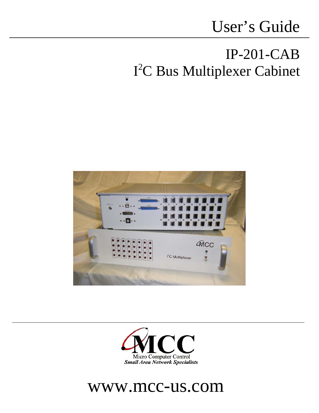# User's Guide

## IP-201-CAB I 2 C Bus Multiplexer Cabinet





## www.mcc-us.com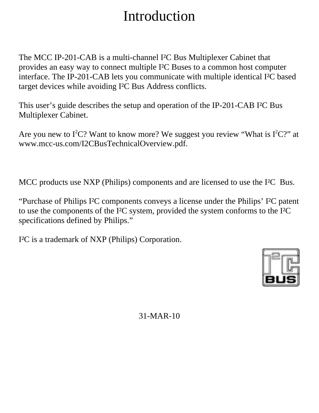## Introduction

The MCC IP-201-CAB is a multi-channel I²C Bus Multiplexer Cabinet that provides an easy way to connect multiple I²C Buses to a common host computer interface. The IP-201-CAB lets you communicate with multiple identical I²C based target devices while avoiding I²C Bus Address conflicts.

This user's guide describes the setup and operation of the IP-201-CAB I²C Bus Multiplexer Cabinet.

Are you new to  $I^2C$ ? Want to know more? We suggest you review "What is  $I^2C$ ?" at www.mcc-us.com/I2CBusTechnicalOverview.pdf.

MCC products use NXP (Philips) components and are licensed to use the I²C Bus.

"Purchase of Philips I²C components conveys a license under the Philips' I²C patent to use the components of the I²C system, provided the system conforms to the I²C specifications defined by Philips."

I²C is a trademark of NXP (Philips) Corporation.



31-MAR-10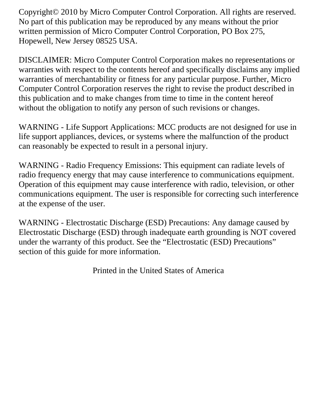Copyright© 2010 by Micro Computer Control Corporation. All rights are reserved. No part of this publication may be reproduced by any means without the prior written permission of Micro Computer Control Corporation, PO Box 275, Hopewell, New Jersey 08525 USA.

DISCLAIMER: Micro Computer Control Corporation makes no representations or warranties with respect to the contents hereof and specifically disclaims any implied warranties of merchantability or fitness for any particular purpose. Further, Micro Computer Control Corporation reserves the right to revise the product described in this publication and to make changes from time to time in the content hereof without the obligation to notify any person of such revisions or changes.

WARNING - Life Support Applications: MCC products are not designed for use in life support appliances, devices, or systems where the malfunction of the product can reasonably be expected to result in a personal injury.

WARNING - Radio Frequency Emissions: This equipment can radiate levels of radio frequency energy that may cause interference to communications equipment. Operation of this equipment may cause interference with radio, television, or other communications equipment. The user is responsible for correcting such interference at the expense of the user.

WARNING - Electrostatic Discharge (ESD) Precautions: Any damage caused by Electrostatic Discharge (ESD) through inadequate earth grounding is NOT covered under the warranty of this product. See the "Electrostatic (ESD) Precautions" section of this guide for more information.

Printed in the United States of America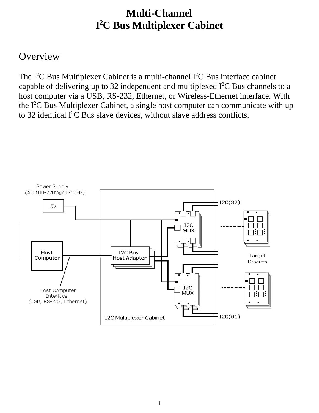### **Multi-Channel I 2 C Bus Multiplexer Cabinet**

#### **Overview**

The I<sup>2</sup>C Bus Multiplexer Cabinet is a multi-channel I<sup>2</sup>C Bus interface cabinet capable of delivering up to 32 independent and multiplexed  $I<sup>2</sup>C$  Bus channels to a host computer via a USB, RS-232, Ethernet, or Wireless-Ethernet interface. With the  $I<sup>2</sup>C$  Bus Multiplexer Cabinet, a single host computer can communicate with up to 32 identical  $I^2C$  Bus slave devices, without slave address conflicts.

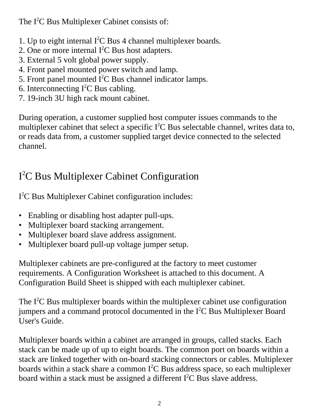The  $I^2C$  Bus Multiplexer Cabinet consists of:

- 1. Up to eight internal  $I^2C$  Bus 4 channel multiplexer boards.
- 2. One or more internal  $I^2C$  Bus host adapters.
- 3. External 5 volt global power supply.
- 4. Front panel mounted power switch and lamp.
- 5. Front panel mounted  $I^2C$  Bus channel indicator lamps.
- 6. Interconnecting  $I^2C$  Bus cabling.
- 7. 19-inch 3U high rack mount cabinet.

During operation, a customer supplied host computer issues commands to the multiplexer cabinet that select a specific  $I^2C$  Bus selectable channel, writes data to, or reads data from, a customer supplied target device connected to the selected channel.

### I 2 C Bus Multiplexer Cabinet Configuration

I 2 C Bus Multiplexer Cabinet configuration includes:

- Enabling or disabling host adapter pull-ups.
- Multiplexer board stacking arrangement.
- Multiplexer board slave address assignment.
- Multiplexer board pull-up voltage jumper setup.

Multiplexer cabinets are pre-configured at the factory to meet customer requirements. A Configuration Worksheet is attached to this document. A Configuration Build Sheet is shipped with each multiplexer cabinet.

The  $I^2C$  Bus multiplexer boards within the multiplexer cabinet use configuration jumpers and a command protocol documented in the  $I<sup>2</sup>C$  Bus Multiplexer Board User's Guide.

Multiplexer boards within a cabinet are arranged in groups, called stacks. Each stack can be made up of up to eight boards. The common port on boards within a stack are linked together with on-board stacking connectors or cables. Multiplexer boards within a stack share a common  $I^2C$  Bus address space, so each multiplexer board within a stack must be assigned a different  $I<sup>2</sup>C$  Bus slave address.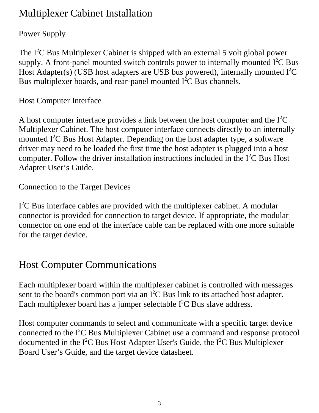#### Multiplexer Cabinet Installation

#### Power Supply

The  $I^2C$  Bus Multiplexer Cabinet is shipped with an external 5 volt global power supply. A front-panel mounted switch controls power to internally mounted  $I^2C$  Bus Host Adapter(s) (USB host adapters are USB bus powered), internally mounted  $I<sup>2</sup>C$ Bus multiplexer boards, and rear-panel mounted  $I<sup>2</sup>C$  Bus channels.

Host Computer Interface

A host computer interface provides a link between the host computer and the  $I<sup>2</sup>C$ Multiplexer Cabinet. The host computer interface connects directly to an internally mounted  $I^2C$  Bus Host Adapter. Depending on the host adapter type, a software driver may need to be loaded the first time the host adapter is plugged into a host computer. Follow the driver installation instructions included in the  $I<sup>2</sup>C$  Bus Host Adapter User's Guide.

Connection to the Target Devices

I<sup>2</sup>C Bus interface cables are provided with the multiplexer cabinet. A modular connector is provided for connection to target device. If appropriate, the modular connector on one end of the interface cable can be replaced with one more suitable for the target device.

#### Host Computer Communications

Each multiplexer board within the multiplexer cabinet is controlled with messages sent to the board's common port via an  $I^2C$  Bus link to its attached host adapter. Each multiplexer board has a jumper selectable  $I<sup>2</sup>C$  Bus slave address.

Host computer commands to select and communicate with a specific target device connected to the  $I<sup>2</sup>C$  Bus Multiplexer Cabinet use a command and response protocol documented in the I<sup>2</sup>C Bus Host Adapter User's Guide, the I<sup>2</sup>C Bus Multiplexer Board User's Guide, and the target device datasheet.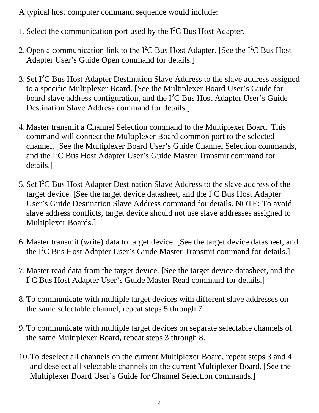A typical host computer command sequence would include:

- 1. Select the communication port used by the  $I<sup>2</sup>C$  Bus Host Adapter.
- 2. Open a communication link to the  $I^2C$  Bus Host Adapter. [See the  $I^2C$  Bus Host Adapter User's Guide Open command for details.]
- 3. Set I<sup>2</sup>C Bus Host Adapter Destination Slave Address to the slave address assigned to a specific Multiplexer Board. [See the Multiplexer Board User's Guide for board slave address configuration, and the  $I<sup>2</sup>C$  Bus Host Adapter User's Guide Destination Slave Address command for details.]
- 4. Master transmit a Channel Selection command to the Multiplexer Board. This command will connect the Multiplexer Board common port to the selected channel. [See the Multiplexer Board User's Guide Channel Selection commands, and the I<sup>2</sup>C Bus Host Adapter User's Guide Master Transmit command for details.]
- 5. Set  $I^2C$  Bus Host Adapter Destination Slave Address to the slave address of the target device. [See the target device datasheet, and the  $I<sup>2</sup>C$  Bus Host Adapter User's Guide Destination Slave Address command for details. NOTE: To avoid slave address conflicts, target device should not use slave addresses assigned to Multiplexer Boards.]
- 6. Master transmit (write) data to target device. [See the target device datasheet, and the  $I<sup>2</sup>C$  Bus Host Adapter User's Guide Master Transmit command for details.]
- 7. Master read data from the target device. [See the target device datasheet, and the I<sup>2</sup>C Bus Host Adapter User's Guide Master Read command for details.]
- 8. To communicate with multiple target devices with different slave addresses on the same selectable channel, repeat steps 5 through 7.
- 9. To communicate with multiple target devices on separate selectable channels of the same Multiplexer Board, repeat steps 3 through 8.
- 10.To deselect all channels on the current Multiplexer Board, repeat steps 3 and 4 and deselect all selectable channels on the current Multiplexer Board. [See the Multiplexer Board User's Guide for Channel Selection commands.]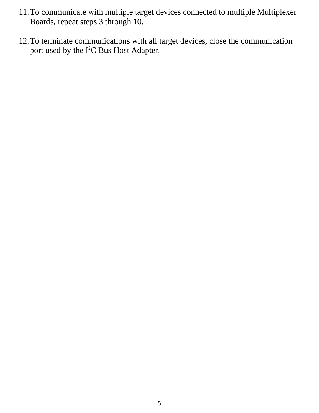- 11.To communicate with multiple target devices connected to multiple Multiplexer Boards, repeat steps 3 through 10.
- 12.To terminate communications with all target devices, close the communication port used by the  $I^2C$  Bus Host Adapter.